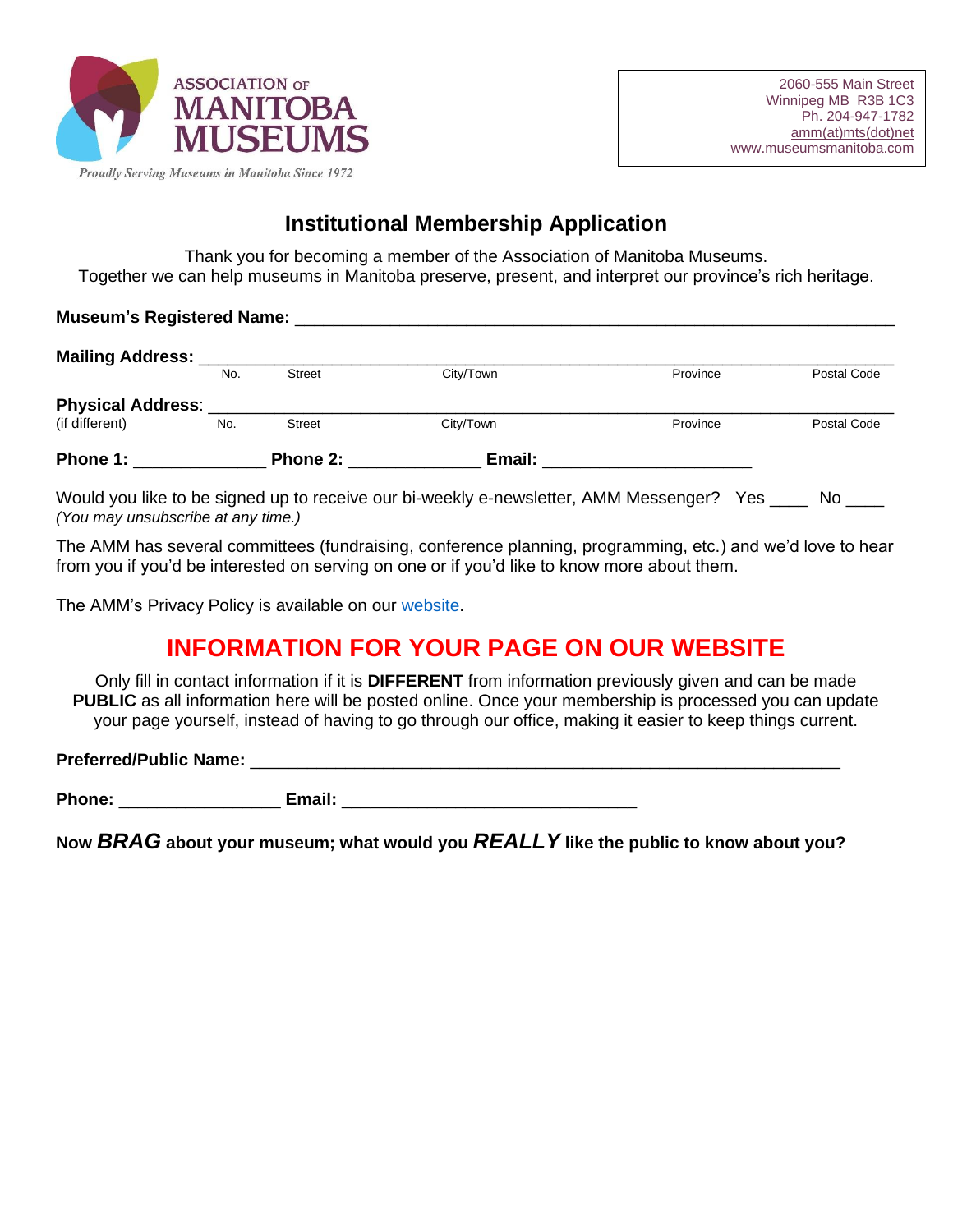

## **Institutional Membership Application**

Thank you for becoming a member of the Association of Manitoba Museums. Together we can help museums in Manitoba preserve, present, and interpret our province's rich heritage.

| <b>Museum's Registered Name:</b> |  |
|----------------------------------|--|
|                                  |  |

| <b>Mailing Address:</b>  |     |               |           |          |             |
|--------------------------|-----|---------------|-----------|----------|-------------|
|                          | No. | <b>Street</b> | City/Town | Province | Postal Code |
| <b>Physical Address:</b> |     |               |           |          |             |
| (if different)           | No. | <b>Street</b> | City/Town | Province | Postal Code |
| Phone 1:                 |     | Phone 2:      | Email:    |          |             |

Would you like to be signed up to receive our bi-weekly e-newsletter, AMM Messenger? Yes No *(You may unsubscribe at any time.)*

The AMM has several committees (fundraising, conference planning, programming, etc.) and we'd love to hear from you if you'd be interested on serving on one or if you'd like to know more about them.

The AMM's Privacy Policy is available on our [website.](https://www.museumsmanitoba.com/en/how-to-become-a-member)

## **INFORMATION FOR YOUR PAGE ON OUR WEBSITE**

Only fill in contact information if it is **DIFFERENT** from information previously given and can be made **PUBLIC** as all information here will be posted online. Once your membership is processed you can update your page yourself, instead of having to go through our office, making it easier to keep things current.

**Preferred/Public Name:** \_\_\_\_\_\_\_\_\_\_\_\_\_\_\_\_\_\_\_\_\_\_\_\_\_\_\_\_\_\_\_\_\_\_\_\_\_\_\_\_\_\_\_\_\_\_\_\_\_\_\_\_\_\_\_\_\_\_\_\_\_\_

Phone: **Email: Email:** 2008. 2009. 2009. 2009. 2009. 2009. 2009. 2009. 2009. 2009. 2009. 2009. 2009. 2009. 2009. 2009. 2009. 2009. 2009. 2009. 2009. 2009. 2009. 2009. 2009. 2009. 2009. 2009. 2009. 2009. 2009. 2009. 2009.

**Now** *BRAG* **about your museum; what would you** *REALLY* **like the public to know about you?**